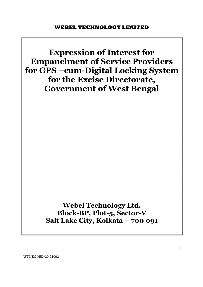

WTL/EOI/ED/20-21002

1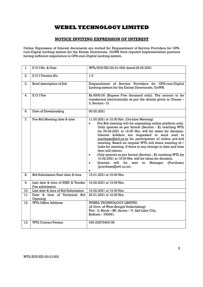## NOTICE INVITING EXPRESSION OF INTEREST

Online Expression of Interest documents are invited for Empanelment of Service Providers for GPScum-Digital Locking system for the Excise Directorate, GoWB from reputed Implementation partners having sufficient experience in GPS-cum-Digital Locking system.

| ı.  | EOINo, & Date                                      | WTL/EOI/ED/20-21/002 dated 05.02.2021                                                                                                                                                                                                                                                                                                                                                                                                                                                                                                                                                                                                                                                                                              |  |  |  |
|-----|----------------------------------------------------|------------------------------------------------------------------------------------------------------------------------------------------------------------------------------------------------------------------------------------------------------------------------------------------------------------------------------------------------------------------------------------------------------------------------------------------------------------------------------------------------------------------------------------------------------------------------------------------------------------------------------------------------------------------------------------------------------------------------------------|--|--|--|
| 2.  | E O I Version No.                                  | 1.0                                                                                                                                                                                                                                                                                                                                                                                                                                                                                                                                                                                                                                                                                                                                |  |  |  |
| 3.  | Brief description of Job                           | Empanelment of Service Providers for GPS-cum-Digital<br>Locking system for the Excise Directorate, GoWB.                                                                                                                                                                                                                                                                                                                                                                                                                                                                                                                                                                                                                           |  |  |  |
| 4.  | <b>EOIFee</b>                                      | Rs.5000.00 (Rupees Five thousand only). The amount to be<br>transferred electronically as per the details given in Clause -<br>3, Section - D.                                                                                                                                                                                                                                                                                                                                                                                                                                                                                                                                                                                     |  |  |  |
| 6.  | Date of Downloading                                | 05.02.2021                                                                                                                                                                                                                                                                                                                                                                                                                                                                                                                                                                                                                                                                                                                         |  |  |  |
| 7.  | Pre-Bid Meeting date & time                        | 11.02.2021 at 12.00 Hrs. (On-Line Meeting)<br>Pre-Bid meeting will be organizing online platform only.<br>$\bullet$<br>Only queries as per format (Section - K) reaching WTL<br>by 00.02.2021 at 12.00 Hrs. will be taken for decision.<br>Interest bidders are requested to send mail to<br>purchase@wtl.co.in for participation of online pre-bid<br>meeting. Based on request WTL will share meeting id /<br>links for meeting. If there is any change in date and time<br>then will inform.<br>Only queries as per format (Section - K) reaching WTL by<br>$\bullet$<br>10.02.2021 at 15.00 Hrs. will be taken for decision.<br>Oueries will be<br>sent<br>to Manager<br>(Purchase)<br>$\bullet$<br>(purchase@wtl.co.in).<br>٠ |  |  |  |
| 8.  | Bid Submission Start date & time                   | 13.01.2021 at 10.00 Hrs.                                                                                                                                                                                                                                                                                                                                                                                                                                                                                                                                                                                                                                                                                                           |  |  |  |
| 9.  | Last date & time of EMD & Tender<br>Fee submission | 19.02.2021 at 13.00 Hrs.                                                                                                                                                                                                                                                                                                                                                                                                                                                                                                                                                                                                                                                                                                           |  |  |  |
| 10. | Last date & time of Bid Submission                 | 19.02.2021 at 14.00 Hrs.                                                                                                                                                                                                                                                                                                                                                                                                                                                                                                                                                                                                                                                                                                           |  |  |  |
| 11. | Date & time of Technical Bid<br>Opening            | 22.01.2021 at 12.00 Hrs.                                                                                                                                                                                                                                                                                                                                                                                                                                                                                                                                                                                                                                                                                                           |  |  |  |
| 12. | <b>WTL Office Address</b>                          | WEBEL TECHNOLOGY LIMITED<br>(A Govt. of West Bengal Undertaking)<br>Plot - 5, Block - BP, Sector - V, Salt Lake City,<br>Kolkata - 700091.                                                                                                                                                                                                                                                                                                                                                                                                                                                                                                                                                                                         |  |  |  |
| 13. | <b>WTL Contact Person</b>                          | 033-23673403-06                                                                                                                                                                                                                                                                                                                                                                                                                                                                                                                                                                                                                                                                                                                    |  |  |  |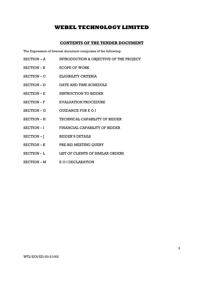## CONTENTS OF THE TENDER DOCUMENT

The Expression of Interest document comprises of the following:

- SECTION A INTRODUCTION & OBJECTIVE OF THE PROJECT
- SECTION B SCOPE OF WORK
- SECTION C ELIGIBILITY CRITERIA
- SECTION D<br>DATE AND TIME SCHEDULE
- SECTION E INSTRUCTION TO BIDDER
- SECTION F EVALUATION PROCEDURE
- SECTION G GUIDANCE FOR E O I
- SECTION H TECHNICAL CAPABILITY OF BIDDER
- SECTION I FINANCIAL CAPABILITY OF BIDDER
- SECTION J BIDDER'S DETAILS
- SECTION K PRE-BID MEETING QUERY
- SECTION L $\hfill\blacksquare$
- SECTION M E O I DECLARATION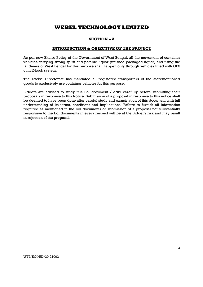## SECTION – A

## INTRODUCTION & OBJECTIVE OF THE PROJECT

As per new Excise Policy of the Government of West Bengal, all the movement of container vehicles carrying strong spirit and potable liquor (finished packaged liquor) and using the landmass of West Bengal for this purpose shall happen only through vehicles fitted with GPS cum E-Lock system.

The Excise Directorate has mandated all registered transporters of the aforementioned goods to exclusively use container vehicles for this purpose.

Bidders are advised to study this EoI document / eNIT carefully before submitting their proposals in response to this Notice. Submission of a proposal in response to this notice shall be deemed to have been done after careful study and examination of this document with full understanding of its terms, conditions and implications. Failure to furnish all information required as mentioned in the EoI documents or submission of a proposal not substantially responsive to the EoI documents in every respect will be at the Bidder's risk and may result in rejection of the proposal.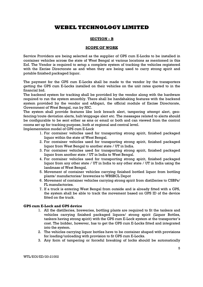## SECTION – B

## SCOPE OF WORK

Service Providers are being selected as the supplier of GPS cum E-Locks to be installed in container vehicles across the state of West Bengal at various locations as mentioned in this EoI. The Vendor is required to setup a complete system of tracking the vehicles registered with the Excise Directorate as and when they are being used to carry strong spirit and potable finished packaged liquor.

The payment for the GPS cum E-Locks shall be made to the vendor by the transporters getting the GPS cum E-Locks installed on their vehicles on the unit rates quoted to in the financial bid.

The backend system for tracking shall be provided by the vendor along with the hardware required to run the system smoothly. There shall be handshaking features with the backend system provided by the vendor and eAbgari, the official module of Excise Directorate, Government of West Bengal, run by NIC.

The system shall provide features like lock breach alert, tampering attempt alert, geofencing/route deviation alerts, halt/stoppage alert etc. The messages related to alerts should be configurable to be sent either as sms or email or both and can viewed from the control rooms set up for tracking purpose, both at regional and central level.

Implementation model of GPS cum E-Lock

- 1. For container vehicles used for transporting strong spirit, finished packaged liquor within the state of West Bengal.
- 2. For container vehicles used for transporting strong spirit, finished packaged liquor from West Bengal to another state / UT in India.
- 3. For container vehicles used for transporting strong spirit, finished packaged liquor from another state / UT in India to West Bengal.
- 4. For container vehicles used for transporting strong spirit, finished packaged liquor from any other state / UT in India to any other state / UT in India using the landmass of West Bengal.
- 5. Movement of container vehicles carrying finished bottled liquor from bottling plants/ manufactories/ breweries to WBSBCL Depot
- 6. Movement of container vehicles carrying strong spirit from distilleries to CSBPs/ FL manufactories.
- 7. If a truck is entering West Bengal from outside and is already fitted with a GPS, the system shall be able to track the movement based on GPS ID of the device fitted on the truck.

## GPS cum E-Lock and GPS device

- 1. All the distilleries, breweries, bottling plants are required to fit the tankers and vehicles carrying finished packaged liquors/ strong spirit (Liquor Bottles, tankers having strong spirit) with the GPS cum E-Lock system at the transporter's cost. The bidder, however, has to get the GPS cum E-Locks fitted and integrated into the system.
- 2. The vehicles carrying liquor bottles have to be container shaped with provisions for loading/unloading with provision to fit GPS cum E-Locks.
- 3. Any form of tampering or forceful breaking of locks should be automatically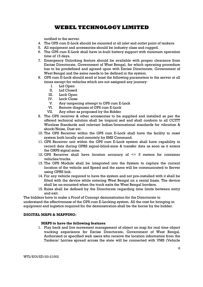notified to the server.

- 4. The GPS cum E-Lock should be mounted at all inlet and outlet point of tankers.
- 5. All equipment and accessories should be industry class and rugged.
- 6. The GPS cum E-Lock shall have in-built battery support with minimum operation time of 15 days.
- 7. Emergency Unlocking feature should be available with proper clearance from Excise Directorate, Government of West Bengal, for which operating procedure has to be predefined and agreed upon with Excise Directorate, Government of West Bengal and the same needs to be defined in the system.
- 8. GPS cum E-Lock should send at least the following parameters to the server at all times except for vehicles which are not assigned any journey:
	- I. Lid Open
	- II. Lid Closed
	- III. Lock Open
	- IV. Lock Close
	- V. Any tampering attempt to GPS cum E-Lock
	- VI. Remote diagnosis of GPS cum E-Lock
	- VII. Any other as proposed by the Bidder
- 9. The GPS receiver & other accessories to be supplied and installed as per the offered technical solution shall be tropical zed and shall conform to all CCITT Wireless Standards and relevant Indian/International standards for vibration & shock/Noise, Dust etc.
- 10. The GPS Receiver within the GPS cum E-Lock shall have the facility to reset system both locally and remotely by SMS Command.
- 11. GPS Receiver unit within the GPS cum E-Lock system shall have capability to record data during GPRS signal-blind-zone & transfer data as soon as it enters the GRPS signal zone.
- 12. GPS Receiver shall have location accuracy of  $\leq$  5 meters for container vehicles/trucks.
- 13. The GPS Module shall be integrated into the System to capture the current location of the vehicle and Speed and the same will be communicated to Server using GPRS link.
- 14. For any vehicle required to have the system and not pre-installed with it shall be fitted with the device while entering West Bengal on a rental basis. The device shall be un-mounted when the truck exits the West Bengal borders.
- 15. Rules shall be defined by the Directorate regarding time limits between entry and exit.

The bidders have to make a Proof of Concept demonstration for the Directorate to understand the effectiveness of the GPS cum E-Locking system. All the cost for bringing in equipment and logistics required for the demonstration shall be the borne by the bidder.

## DIGITAL MAPS & MAPPING:

## MAPS to have the following features

1. Play back and live movement management of object on map for real time object tracking experience for Excise Directorate, Government of West Bengal. Authorized or specified web users who receive the location information from the Tankers/ Lorries spread across the state will be connected with VMS (Vehicle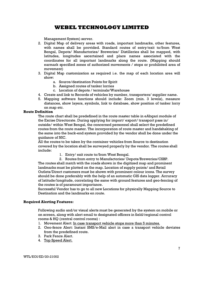Management System) server.

- 2. Digital Map of delivery areas with roads, important landmarks, other features, with names shall be provided. Standard routes of entry/exit to/from West Bengal, Depots/ Manufactories/ Breweries/ Distilleries shall be mapped, with latitudes, longitudes ascertained and place names associated with the coordinates for all important landmarks along the route. (Mapping should earmark specified zones of authorized movements / stops or prohibited area of movement)
- 3. Digital Map customization as required i.e. the map of each location area will show:
	- a. Source/destination Points for Spirit
	- b. Assigned routes of tanker lorries
	- c. Location of depots / terminals/Warehouse
- 4. Create and link to Records of vehicles by number, transporters/ supplier name.
- 5. Mapping software functions should include: Zoom (min. 3 levels), measure distances, show layers, symbols, link to database, show position of tanker lorry on map etc.

## Route Definition

The route chart shall be predefined in the route master table in eAbgari module of the Excise Directorate. During applying for import/ export/ transport pass in/ outside/ within West Bengal, the concerned personnel shall select the predefined routes from the route master. The incorporation of route master and handshaking of the same into the back-end system provided by the vendor shall be done under the guidance of NIC.

All the routes to be taken by the container vehicles from Source to destination covered by the location shall be surveyed properly by the vendor. The routes shall include:

- 1. Entry/ exit route to/from West Bengal.
- 2. Routes from entry to Manufactories/ Depots/Breweries/CSBP.

The routes shall match with the roads shown in the digitized map and prominent landmarks must be plotted on the map. Location of supply points/ and Retail Outlets/Direct customers must be shown with prominent colour icons. The survey should be done preferably with the help of an automatic GIS data logger. Accuracy of latitude/longitude, correlating the same with ground features and geo-fencing of the routes is of paramount importance.

Successful Vendor has to go to all new Locations for physically Mapping Source to Destination and the landmarks en route.

## Required Alerting Features:

Following audio and/or visual alerts must be generated by the system on mobile or on screen, along with alert email to designated officers in field/regional control rooms & HQ (central control rooms) :

- 1. Movement Alert: In case transport vehicle stops more than 5 minutes.
- 2. Geo-fence Alert: Instant SMS/e-Mail alert in case a transport vehicle deviates from the predefined route.
- 3. Park Fence Alert.
- 4. Top Speed Alert.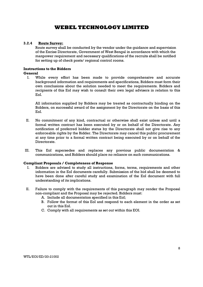## 3.2.4 Route Survey:

Route survey shall be conducted by the vendor under the guidance and supervision of the Excise Directorate, Government of West Bengal in accordance with which the manpower requirement and necessary qualifications of the recruits shall be notified for setting up of check posts/ regional control rooms.

## Instructions to the Bidders

## General

I. While every effort has been made to provide comprehensive and accurate background information and requirements and specifications, Bidders must form their own conclusions about the solution needed to meet the requirements. Bidders and recipients of this EoI may wish to consult their own legal advisers in relation to this EoI.

All information supplied by Bidders may be treated as contractually binding on the Bidders, on successful award of the assignment by the Directorate on the basis of this EoI.

- II. No commitment of any kind, contractual or otherwise shall exist unless and until a formal written contract has been executed by or on behalf of the Directorate. Any notification of preferred bidder status by the Directorate shall not give rise to any enforceable rights by the Bidder. The Directorate may cancel this public procurement at any time prior to a formal written contract being executed by or on behalf of the Directorate.
- III. This EoI supersedes and replaces any previous public documentation & communications, and Bidders should place no reliance on such communications.

## Compliant Proposals / Completeness of Response

- I. Bidders are advised to study all instructions, forms, terms, requirements and other information in the EoI documents carefully. Submission of the bid shall be deemed to have been done after careful study and examination of the EoI document with full understanding of its implications.
- II. Failure to comply with the requirements of this paragraph may render the Proposal non-compliant and the Proposal may be rejected. Bidders must:
	- A. Include all documentation specified in this EoI;
	- B. Follow the format of this EoI and respond to each element in the order as set out in this EoI.
	- C. Comply with all requirements as set out within this EOI.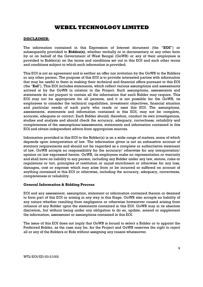### DISCLAIMER:

The information contained in this Expression of Interest document (the "EOI") or subsequently provided to Bidder(s), whether verbally or in documentary or any other form by or on behalf of the Government of West Bengal (GoWB) or any of their employees is provided to Bidder(s) on the terms and conditions set out in this EOI and such other terms and conditions subject to which such information is provided.

This EOI is not an agreement and is neither an offer nor invitation by the GoWB to the Bidders or any other person. The purpose of this EOI is to provide interested parties with information that may be useful to them in making their technical and financial offers pursuant to this EOI (the "EoI"). This EOI includes statements, which reflect various assumptions and assessments arrived at by the GoWB in relation to the Project. Such assumptions, assessments and statements do not purport to contain all the information that each Bidder may require. This EOI may not be appropriate for all persons, and it is not possible for the GoWB, its employees to consider the technical capabilities, investment objectives, financial situation and particular needs of each party who reads or uses this EOI. The assumptions, assessments, statements and information contained in this EOI, may not be complete, accurate, adequate or correct. Each Bidder should, therefore, conduct its own investigations, studies and analysis and should check the accuracy, adequacy, correctness, reliability and completeness of the assumptions/assessments, statements and information contained in this EOI and obtain independent advice from appropriate sources.

Information provided in this EOI to the Bidder(s) is on a wide range of matters, some of which depends upon interpretation of law. The information given is not an exhaustive account of statutory requirements and should not be regarded as a complete or authoritative statement of law. GoWB accepts no responsibility for the accuracy/ otherwise for any interpretation/ opinion on law expressed herein. GoWB, its employees make no representation or warranty and shall have no liability to any person, including any Bidder under any law, statute, rules or regulations or tort, principles of restitution or unjust enrichment or otherwise for any loss, damages, cost or expense which may arise from or be incurred or suffered on account of anything contained in this EOI or otherwise, including the accuracy, adequacy, correctness, completeness or reliability.

## General Information & Bidding Process

EOI and any assessment, assumption, statement or information contained therein or deemed to form part of this EOI or arising in any way in this Stage. GoWB also accepts no liability of any nature whether resulting from negligence or otherwise howsoever caused arising from reliance of any Bidder upon the statements contained in this EOI. GoWB may in its absolute discretion, but without being under any obligation to do so, update, amend or supplement the information, assessment or assumptions contained in this EOI.

The issue of this EOI does not imply that GoWB is bound to select a Bidder or to appoint the Preferred Bidder, as the case may be, for the Project and GoWB reserves the right to reject all or any of the Bidders or Bids without assigning any reason whatsoever.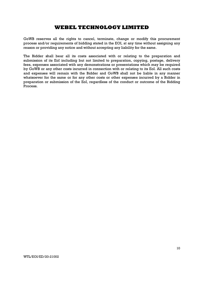GoWB reserves all the rights to cancel, terminate, change or modify this procurement process and/or requirements of bidding stated in the EOI, at any time without assigning any reason or providing any notice and without accepting any liability for the same.

The Bidder shall bear all its costs associated with or relating to the preparation and submission of its EoI including but not limited to preparation, copying, postage, delivery fees, expenses associated with any demonstrations or presentations which may be required by GoWB or any other costs incurred in connection with or relating to its EoI. All such costs and expenses will remain with the Bidder and GoWB shall not be liable in any manner whatsoever for the same or for any other costs or other expenses incurred by a Bidder in preparation or submission of the EoI, regardless of the conduct or outcome of the Bidding Process.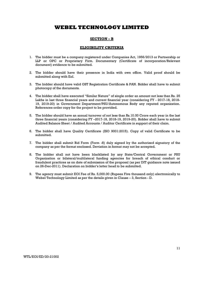## SECTION – B

### ELIGIBILITY CRITERIA

- 1. The bidder must be a company registered under Companies Act, 1956/2013 or Partnership or LLP or OPC or Proprietary Firm. Documentary (Certificate of incorporation/Relevant document) evidence to be submitted.
- 2. The bidder should have their presence in India with own office. Valid proof should be submitted along with EoI.
- 3. The bidder should have valid GST Registration Certificate & PAN. Bidder shall have to submit photocopy of the documents.
- 4. The bidder shall have executed "Similar Nature" of single order an amount not less than Rs. 25 Lakhs in last three financial years and current financial year (considering FY - 2017-18, 2018- 19, 2019-20) in Government Department/PSU/Autonomous Body any reputed organization. References order copy for the project to be provided.
- 5. The bidder should have an annual turnover of not less than Rs.10.00 Crore each year in the last three financial years (considering FY –2017-18, 2018-19, 2019-20). Bidder shall have to submit Audited Balance Sheet / Audited Accounts / Auditor Certificate in support of their claim.
- 6. The bidder shall have Quality Certificate (ISO 9001:2015). Copy of valid Certificate to be submitted.
- 7. The bidder shall submit Bid Form (Form -8) duly signed by the authorized signatory of the company as per the format enclosed. Deviation in format may not be accepted.
- 8. The bidder shall not have been blacklisted by any State/Central Government or PSU Organization or bilateral/multilateral funding agencies for breach of ethical conduct or fraudulent practices as on date of submission of the proposal (as per DIT guidance note issued on 26-Dec-2011). Declaration on bidder's letter head to be submitted.
- 9. The agency must submit EOI Fee of Rs. 5,000.00 (Rupees Five thousand only) electronically to Webel Technology Limited as per the details given in Clause – 3, Section - D.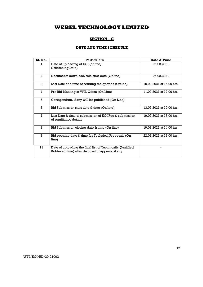## SECTION – C

## DATE AND TIME SCHEDULE

| <b>S1. No.</b> | <b>Particulars</b>                                                                                             | Date & Time              |
|----------------|----------------------------------------------------------------------------------------------------------------|--------------------------|
| L              | Date of uploading of EOI (online)<br>(Publishing Date)                                                         | 05.02.2021               |
| $\overline{2}$ | Documents download/sale start date (Online)                                                                    | 05.02.2021               |
| 3              | Last Date and time of sending the queries (Offline)                                                            | 10.02.2021 at 15.00 hrs. |
| 4              | Pre Bid Meeting at WTL Office (On Line)                                                                        | 11.02.2021 at 12.00 hrs. |
| 5              | Corrigendum, if any will be published (On Line)                                                                |                          |
| 6              | Bid Submission start date & time (On line)                                                                     | 13.02.2021 at 10.00 hrs. |
| 7              | Last Date & time of submission of EQI Fee & submission<br>of remittance details                                | 19.02.2021 at 13.00 hrs. |
| 8              | Bid Submission closing date & time (On line)                                                                   | 19.02.2021 at 14.00 hrs. |
| 9              | Bid opening date & time for Technical Proposals (On<br>line)                                                   | 22.02.2021 at 12.00 hrs. |
| 11             | Date of uploading the final list of Technically Qualified<br>Bidder (online) after disposal of appeals, if any |                          |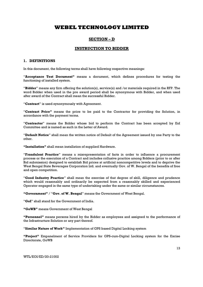## SECTION – D

### INSTRUCTION TO BIDDER

### 1. DEFINITIONS

In this document, the following terms shall have following respective meanings:

"Acceptance Test Document" means a document, which defines procedures for testing the functioning of installed system.

"Bidder" means any firm offering the solution(s), service(s) and /or materials required in the RFP. The word Bidder when used in the pre award period shall be synonymous with Bidder, and when used after award of the Contract shall mean the successful Bidder.

"Contract" is used synonymously with Agreement.

"Contract Price" means the price to be paid to the Contractor for providing the Solution, in accordance with the payment terms.

"Contractor" means the Bidder whose bid to perform the Contract has been accepted by EoI Committee and is named as such in the Letter of Award.

"Default Notice" shall mean the written notice of Default of the Agreement issued by one Party to the other.

"Installation" shall mean installation of supplied Hardware.

"Fraudulent Practice" means a misrepresentation of facts in order to influence a procurement process or the execution of a Contract and includes collusive practice among Bidders (prior to or after Bid submission) designed to establish Bid prices at artificial noncompetitive levels and to deprive the West Bengal State Beverages Corporation Ltd. and eventually Gov. of W. Bengal of the benefits of free and open competition.

"Good Industry Practice" shall mean the exercise of that degree of skill, diligence and prudence which would reasonably and ordinarily be expected from a reasonably skilled and experienced Operator engaged in the same type of undertaking under the same or similar circumstances.

"Government" / "Gov. of W. Bengal" means the Government of West Bengal.

"GoI" shall stand for the Government of India.

"GoWB" means Government of West Bengal

"Personnel" means persons hired by the Bidder as employees and assigned to the performance of the Infrastructure Solution or any part thereof.

"Similar Nature of Work" Implementation of GPS based Digital Locking system

"Project" Empanelment of Service Providers for GPS-cum-Digital Locking system for the Excise Directorate, GoWB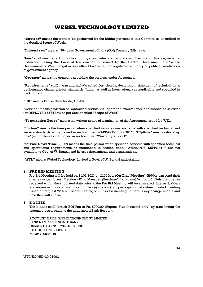"Services" means the work to be performed by the Bidder pursuant to this Contract, as described in the detailed Scope of Work.

"Interest rate" means "364 days Government of India (GoI) Treasury Bills" rate.

"Law" shall mean any Act, notification, bye law, rules and regulations, directive, ordinance, order or instruction having the force of law enacted or issued by the Central Government and/or the Government of West Bengal or any other Government or regulatory authority or political subdivision of government agency.

"Operator" means the company providing the services under Agreement.

"Requirements" shall mean and include schedules, details, description, statement of technical data, performance characteristics, standards (Indian as well as International) as applicable and specified in the Contract.

"ED" means Excise Directorate, GoWB

"Service" means provision of Contracted service viz., operation, maintenance and associated services for DEPLOYED SYSTEMS as per Section titled "Scope of Work"

"Termination Notice" means the written notice of termination of the Agreement issued by WTL.

"Uptime" means the time period when specified services are available with specified technical and service standards as mentioned in section titled WARRANTY SUPPORT" "%Uptime" means ratio of 'up time' (in minutes) as mentioned in section titled "Warranty support"

"Service Down Time" (SDT) means the time period when specified services with specified technical and operational requirements as mentioned in section titled "WARRANTY SUPPORT"" are not available to Gov. of W. Bengal and its user departments and organizations.

"WTL" means Webel Technology Limited a Govt. of W. Bengal undertaking.

### 2. PRE BID MEETING

Pre Bid Meeting will be held on 11.02.2021 at 12.00 hrs. (On-Line Meeting). Bidder can send their queries as per format (Section - K) to Manager (Purchase) (purchase@wtl.co.in). Only the queries received within the stipulated date prior to the Pre Bid Meeting will be answered. Interest bidders are requested to send mail to (purchase @wtl.co.in) for participation of online pre-bid meeting Based on request WTL will share meeting id / links for meeting. If there is any change in date and time then will inform.

### 3. E O I FEE

The bidder shall furnish EOI Fee of Rs. 5000.00 (Rupees Five thousand only) by transferring the amount electronically to the undernoted Bank Account.

ACCOUNT NAME: WEBEL TECHNOLOGY LIMITED BANK NAME: SYNDICATE BANK CURRENT A/C NO.: 95981010003870 IFS CODE: SYNB0009760 MICR: 700025048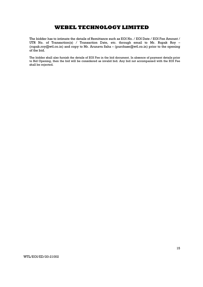The bidder has to intimate the details of Remittance such as EOI No. / EOI Date / EOI Fee Amount / UTR No. of Transaction(s) / Transaction Date, etc. through email to Mr. Rupak Roy – (rupak.roy@wtl.co.in) and copy to Mr. Arunava Saha – (purchase@wtl.co.in) prior to the opening of the bid.

The bidder shall also furnish the details of EOI Fee in the bid document. In absence of payment details prior to Bid Opening, then the bid will be considered as invalid bid. Any bid not accompanied with the EOI Fee shall be rejected.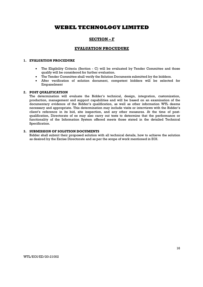## SECTION – F

## EVALUATION PROCUDURE

### 1. EVALUATION PROCEDURE

- The Eligibility Criteria (Section C) will be evaluated by Tender Committee and those qualify will be considered for further evaluation.
- The Tender Committee shall verify the Solution Documents submitted by the bidders.
- After verification of solution document, competent bidders will be selected for Empanelment

### 2. POST QUALIFICATION

The determination will evaluate the Bidder's technical, design, integration, customization, production, management and support capabilities and will be based on an examination of the documentary evidence of the Bidder's qualification, as well as other information WTL deems necessary and appropriate. This determination may include visits or interviews with the Bidder's client's reference in its bid, site inspection, and any other measures. At the time of postqualification, Directorate of es may also carry out tests to determine that the performance or functionality of the Information System offered meets those stated in the detailed Technical Specification.

### 3. SUBMISSION OF SOLUTION DOCUMENTS

Bidder shall submit their proposed solution with all technical details, how to achieve the solution as desired by the Excise Directorate and as per the scope of work mentioned in EOI.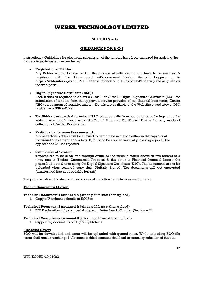## SECTION – G

## GUIDANCE FOR E O I

Instructions / Guidelines for electronic submission of the tenders have been annexed for assisting the Bidders to participate in e-Tendering.

### Registration of Bidder:

Any Bidder willing to take part in the process of e-Tendering will have to be enrolled & registered with the Government e-Procurement System through logging on to https://wbtenders.gov.in. The Bidder is to click on the link for e-Tendering site as given on the web portal.

### Digital Signature Certificate (DSC):

Each Bidder is required to obtain a Class-II or Class-III Digital Signature Certificate (DSC) for submission of tenders from the approved service provider of the National Informatics Centre (NIC) on payment of requisite amount. Details are available at the Web Site stated above. DSC is given as a USB e-Token.

 The Bidder can search & download N.I.T. electronically from computer once he logs on to the website mentioned above using the Digital Signature Certificate. This is the only mode of collection of Tender Documents.

### Participation in more than one work:

A prospective bidder shall be allowed to participate in the job either in the capacity of individual or as a partner of a firm. If, found to be applied severally in a single job all the applications will be rejected.

#### Submission of Tenders:

Tenders are to be submitted through online to the website stated above in two folders at a time, one in Techno Commercial Proposal & the other is Financial Proposal before the prescribed date & time using the Digital Signature Certificate (DSC). The documents are to be uploaded virus scanned copy duly Digitally Signed. The documents will get encrypted (transformed into non readable formats)

The proposal should contain scanned copies of the following in two covers (folders).

#### Techno Commercial Cover:

#### Technical Document 1 (scanned & join in pdf format then upload)

1. Copy of Remittance details of EOI Fee

#### Technical Document 2 (scanned & join in pdf format then upload)

1. EOI Declaration duly stamped & signed in letter head of bidder (Section – M)

### Technical Compliance (scanned & joins in pdf format then upload)

1. Supporting documents of Eligibility Criteria

#### Financial Cover:

BOQ will be downloaded and same will be uploaded with quoted rates. While uploading BOQ file name shall remain unchanged. Absence of this document shall lead to summary rejection of the bid.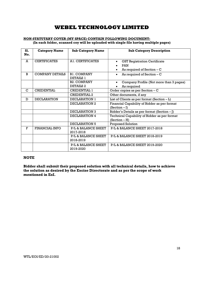### NON-STATUTARY COVER (MY SPACE) CONTAIN FOLLOWING DOCUMENT: (In each folder, scanned coy will be uploaded with single file having multiple pages)

| S1. | <b>Category Name</b>   | <b>Sub Category Name</b>       | <b>Sub Category Description</b>                  |  |  |
|-----|------------------------|--------------------------------|--------------------------------------------------|--|--|
| No. |                        |                                |                                                  |  |  |
| A   | <b>CERTIFICATES</b>    | A1. CERTIFICATES               | <b>GST Registration Certificate</b><br>$\bullet$ |  |  |
|     |                        |                                | <b>PAN</b>                                       |  |  |
|     |                        |                                | As required of Section $- C$                     |  |  |
| B   | <b>COMPANY DETAILS</b> | <b>B1. COMPANY</b>             | As required of Section $-C$<br>$\bullet$         |  |  |
|     |                        | <b>DETAILS 1</b>               |                                                  |  |  |
|     |                        | <b>B2. COMPANY</b>             | Company Profile (Not more than 3 pages)          |  |  |
|     |                        | DETAILS 2                      | As required                                      |  |  |
| C   | <b>CREDENTIAL</b>      | <b>CREDENTIAL 1</b>            | Order copies as per Section - C                  |  |  |
|     |                        | <b>CREDENTIAL 2</b>            | Other documents, if any                          |  |  |
| D   | <b>DECLARATION</b>     | DECLARATION 1                  | List of Clients as per format $(Section - L)$    |  |  |
|     |                        | DECLARATION 2                  | Financial Capability of Bidder as per format     |  |  |
|     |                        |                                | $(Section - I)$                                  |  |  |
|     |                        | DECLARATION 3                  | Bidder's Details as per format (Section $-$ [)   |  |  |
|     |                        | DECLARATION 4                  | Technical Capability of Bidder as per format     |  |  |
|     |                        |                                | $(Section - H)$                                  |  |  |
|     |                        | DECLARATION 5                  | Proposed Solution                                |  |  |
| F   | <b>FINANCIAL INFO</b>  | P/L & BALANCE SHEET            | P/L & BALANCE SHEET 2017-2018                    |  |  |
|     |                        | 2017-2018                      |                                                  |  |  |
|     |                        | <b>P/L &amp; BALANCE SHEET</b> | <b>P/L&amp; BALANCE SHEET 2018-2019</b>          |  |  |
|     |                        | 2018-2019                      |                                                  |  |  |
|     |                        | P/L & BALANCE SHEET            | P/L & BALANCE SHEET 2019-2020                    |  |  |
|     |                        | 2019-2020                      |                                                  |  |  |

## NOTE

Bidder shall submit their proposed solution with all technical details, how to achieve the solution as desired by the Excise Directorate and as per the scope of work mentioned in EoI.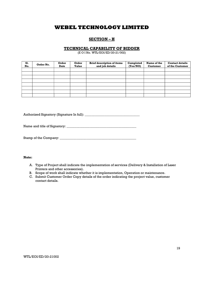## SECTION – H

### TECHNICAL CAPABILITY OF BIDDER

(E O I No. WTL/EOI/ED/20-21/002)

| S1.<br>No. | Order No. | Order<br><b>Date</b> | Order<br><b>Value</b> | <b>Brief description of items</b><br>and job details | Completed<br>(Yes/NO) | Name of the<br><b>Customer</b> | <b>Contact details</b><br>of the Customer |
|------------|-----------|----------------------|-----------------------|------------------------------------------------------|-----------------------|--------------------------------|-------------------------------------------|
|            |           |                      |                       |                                                      |                       |                                |                                           |
|            |           |                      |                       |                                                      |                       |                                |                                           |
|            |           |                      |                       |                                                      |                       |                                |                                           |
|            |           |                      |                       |                                                      |                       |                                |                                           |
|            |           |                      |                       |                                                      |                       |                                |                                           |
|            |           |                      |                       |                                                      |                       |                                |                                           |
|            |           |                      |                       |                                                      |                       |                                |                                           |
|            |           |                      |                       |                                                      |                       |                                |                                           |

Authorized Signatory (Signature In full):

Name and title of Signatory: \_\_\_\_\_\_\_\_\_\_\_\_\_\_\_\_\_\_\_\_\_\_\_\_\_\_\_\_\_\_\_\_\_\_\_\_\_\_\_\_\_\_

Stamp of the Company: \_\_\_\_\_\_\_\_\_\_\_\_\_\_\_\_\_\_\_\_\_\_\_\_\_\_\_\_\_\_\_\_\_\_\_\_\_\_\_\_\_\_\_\_\_\_

### Note:

- A. Type of Project shall indicate the implementation of services (Delivery & Installation of Laser Printers and other accessories).
- B. Scope of work shall indicate whether it is implementation, Operation or maintenance.
- C. Submit Customer Order Copy details of the order indicating the project value, customer contact details.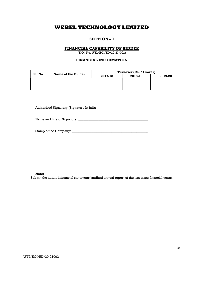## SECTION – I

### FINANCIAL CAPABILITY OF BIDDER

(E O I No. WTL/EOI/ED/20-21/002)

### FINANCIAL INFORMATION

| <b>S1. No.</b> | Name of the Bidder | Turnover (Rs. / Crores) |         |         |  |
|----------------|--------------------|-------------------------|---------|---------|--|
|                |                    | 2017-18                 | 2018-19 | 2019-20 |  |
|                |                    |                         |         |         |  |
|                |                    |                         |         |         |  |
|                |                    |                         |         |         |  |

Authorized Signatory (Signature In full): \_\_\_\_\_\_\_\_\_\_\_\_\_\_\_\_\_\_\_\_\_\_\_\_\_\_\_\_\_\_\_\_\_

Name and title of Signatory: \_\_\_\_\_\_\_\_\_\_\_\_\_\_\_\_\_\_\_\_\_\_\_\_\_\_\_\_\_\_\_\_\_\_\_\_\_\_\_\_\_\_

Stamp of the Company: \_\_\_\_\_\_\_\_\_\_\_\_\_\_\_\_\_\_\_\_\_\_\_\_\_\_\_\_\_\_\_\_\_\_\_\_\_\_\_\_\_\_\_\_\_\_

#### Note:

Submit the audited financial statement/ audited annual report of the last three financial years.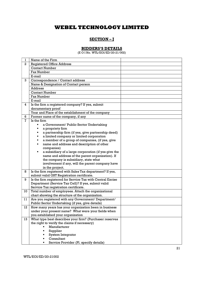## SECTION-I

## BIDDERS'S DETAILS

(E O I No. WTL/EOI/ED/20-21/002)

| 1  | Name of the Firm                                                                                             |  |
|----|--------------------------------------------------------------------------------------------------------------|--|
| 2  | <b>Registered Office Address</b>                                                                             |  |
|    | <b>Contact Number</b>                                                                                        |  |
|    | Fax Number                                                                                                   |  |
|    | E-mail                                                                                                       |  |
| 3  | Correspondence / Contact address                                                                             |  |
|    | Name & Designation of Contact person                                                                         |  |
|    | <b>Address</b>                                                                                               |  |
|    | <b>Contact Number</b>                                                                                        |  |
|    | Fax Number                                                                                                   |  |
|    | E-mail                                                                                                       |  |
| 4  | Is the firm a registered company? If yes, submit                                                             |  |
|    | documentary proof                                                                                            |  |
|    | Year and Place of the establishment of the company                                                           |  |
| 6  | Former name of the company, if any                                                                           |  |
| 7  | Is the firm                                                                                                  |  |
|    | a Government/ Public Sector Undertaking                                                                      |  |
|    | a propriety firm                                                                                             |  |
|    | a partnership firm (if yes, give partnership deed)                                                           |  |
|    | a limited company or limited corporation                                                                     |  |
|    | a member of a group of companies, (if yes, give                                                              |  |
|    | name and address and description of other                                                                    |  |
|    | companies)                                                                                                   |  |
|    | a subsidiary of a large corporation (if yes give the                                                         |  |
|    | name and address of the parent organization). If                                                             |  |
|    | the company is subsidiary, state what                                                                        |  |
|    | involvement if any, will the parent company have                                                             |  |
|    | in the project.                                                                                              |  |
| 8  | Is the firm registered with Sales Tax department? If yes,                                                    |  |
|    | submit valid GST Registration certificate.                                                                   |  |
| 9  | Is the firm registered for Service Tax with Central Excise                                                   |  |
|    | Department (Service Tax Cell)? If yes, submit valid                                                          |  |
|    | Service Tax registration certificate.                                                                        |  |
| 10 | Total number of employees. Attach the organizational                                                         |  |
|    | chart showing the structure of the organization.                                                             |  |
| 11 | Are you registered with any Government/ Department/                                                          |  |
|    | Public Sector Undertaking (if yes, give details)                                                             |  |
| 12 | How many years has your organization been in business<br>under your present name? What were your fields when |  |
|    |                                                                                                              |  |
|    | you established your organization<br>What type best describes your firm? (Purchaser reserves                 |  |
| 13 | the right to verify the claims if necessary)                                                                 |  |
|    | Manufacturer<br>$\blacksquare$                                                                               |  |
|    | Supplier<br>٠                                                                                                |  |
|    | System Integrator                                                                                            |  |
|    | Consultant                                                                                                   |  |
|    | Service Provider (Pl. specify details)                                                                       |  |
|    |                                                                                                              |  |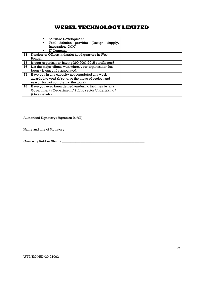|    | Software Development<br>٠<br>Total Solution provider (Design, Supply,<br>Integration, O&M)<br>IT Company<br>٠ |  |
|----|---------------------------------------------------------------------------------------------------------------|--|
| 14 | Number of Offices in district head quarters in West                                                           |  |
|    | Bengal                                                                                                        |  |
| 15 | Is your organization having ISO 9001:2015 certificates?                                                       |  |
| 16 | List the major clients with whom your organization has                                                        |  |
|    | been / is currently associated.                                                                               |  |
| 17 | Have you in any capacity not completed any work                                                               |  |
|    | awarded to you? (If so, give the name of project and                                                          |  |
|    | reason for not completing the work)                                                                           |  |
| 18 | Have you ever been denied tendering facilities by any                                                         |  |
|    | Government / Department / Public sector Undertaking?                                                          |  |
|    | (Give details)                                                                                                |  |

Authorized Signatory (Signature In full): \_\_\_\_\_\_\_\_\_\_\_\_\_\_\_\_\_\_\_\_\_\_\_\_\_\_\_\_\_\_\_\_\_

Name and title of Signatory: \_\_\_\_\_\_\_\_\_\_\_\_\_\_\_\_\_\_\_\_\_\_\_\_\_\_\_\_\_\_\_\_\_\_\_\_\_\_\_\_\_\_

Company Rubber Stamp: \_\_\_\_\_\_\_\_\_\_\_\_\_\_\_\_\_\_\_\_\_\_\_\_\_\_\_\_\_\_\_\_\_\_\_\_\_\_\_\_\_\_\_\_\_\_\_\_\_\_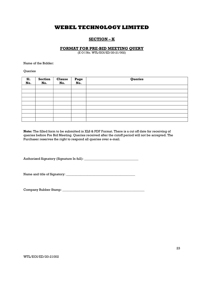## SECTION – K

### FORMAT FOR PRE-BID MEETING QUERY

(E O I No. WTL/EOI/ED/20-21/002)

Name of the Bidder:

Queries

| S1.<br>No. | Section<br>No. | <b>Clause</b><br>No. | Page<br>No. | Queries |
|------------|----------------|----------------------|-------------|---------|
|            |                |                      |             |         |
|            |                |                      |             |         |
|            |                |                      |             |         |
|            |                |                      |             |         |
|            |                |                      |             |         |
|            |                |                      |             |         |
|            |                |                      |             |         |
|            |                |                      |             |         |
|            |                |                      |             |         |

Note: The filled form to be submitted in XLS & PDF Format. There is a cut off date for receiving of queries before Pre Bid Meeting. Queries received after the cutoff period will not be accepted. The Purchaser reserves the right to respond all queries over e-mail.

Authorized Signatory (Signature In full): \_\_\_\_\_\_\_\_\_\_\_\_\_\_\_\_\_\_\_\_\_\_\_\_\_\_\_\_\_\_\_\_\_

Name and title of Signatory: \_\_\_\_\_\_\_\_\_\_\_\_\_\_\_\_\_\_\_\_\_\_\_\_\_\_\_\_\_\_\_\_\_\_\_\_\_\_\_\_\_\_

Company Rubber Stamp: \_\_\_\_\_\_\_\_\_\_\_\_\_\_\_\_\_\_\_\_\_\_\_\_\_\_\_\_\_\_\_\_\_\_\_\_\_\_\_\_\_\_\_\_\_\_\_\_\_\_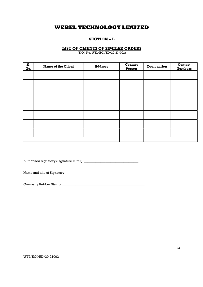## SECTION – L

## LIST OF CLIENTS OF SIMILAR ORDERS

(E O I No. WTL/EOI/ED/20-21/002)

| S1.<br>No. | <b>Name of the Client</b> | <b>Address</b> | <b>Contact</b><br>Person | Designation | Contact<br><b>Numbers</b> |
|------------|---------------------------|----------------|--------------------------|-------------|---------------------------|
|            |                           |                |                          |             |                           |
|            |                           |                |                          |             |                           |
|            |                           |                |                          |             |                           |
|            |                           |                |                          |             |                           |
|            |                           |                |                          |             |                           |
|            |                           |                |                          |             |                           |
|            |                           |                |                          |             |                           |
|            |                           |                |                          |             |                           |
|            |                           |                |                          |             |                           |
|            |                           |                |                          |             |                           |
|            |                           |                |                          |             |                           |
|            |                           |                |                          |             |                           |
|            |                           |                |                          |             |                           |
|            |                           |                |                          |             |                           |
|            |                           |                |                          |             |                           |
|            |                           |                |                          |             |                           |

Authorized Signatory (Signature In full): \_\_\_\_\_\_\_\_\_\_\_\_\_\_\_\_\_\_\_\_\_\_\_\_\_\_\_\_\_\_\_\_\_

Name and title of Signatory: \_\_\_\_\_\_\_\_\_\_\_\_\_\_\_\_\_\_\_\_\_\_\_\_\_\_\_\_\_\_\_\_\_\_\_\_\_\_\_\_\_\_

Company Rubber Stamp: \_\_\_\_\_\_\_\_\_\_\_\_\_\_\_\_\_\_\_\_\_\_\_\_\_\_\_\_\_\_\_\_\_\_\_\_\_\_\_\_\_\_\_\_\_\_\_\_\_\_